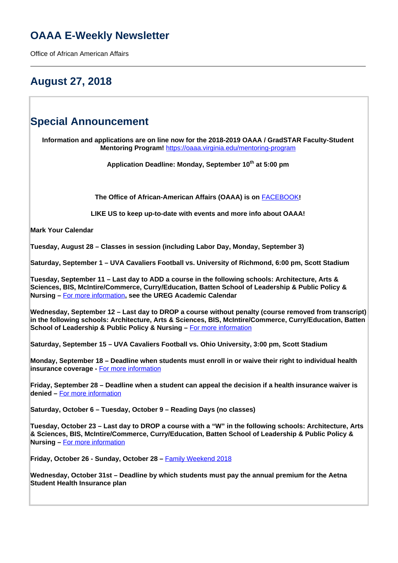# **OAAA E-Weekly Newsletter**

Office of African American Affairs

# **August 27, 2018**

## **Special Announcement**

**Information and applications are on line now for the 2018-2019 OAAA / GradSTAR Faculty-Student Mentoring Program!** <https://oaaa.virginia.edu/mentoring-program>

**Application Deadline: Monday, September 10th at 5:00 pm**

**The Office of African-American Affairs (OAAA) is on** FACEBOOK**!**

**LIKE US to keep up-to-date with events and more info about OAAA!**

**Mark Your Calendar**

**Tuesday, August 28 – Classes in session (including Labor Day, Monday, September 3)**

**Saturday, September 1 – UVA Cavaliers Football vs. University of Richmond, 6:00 pm, Scott Stadium**

**Tuesday, September 11 – Last day to ADD a course in the following schools: Architecture, Arts & Sciences, BIS, McIntire/Commerce, Curry/Education, Batten School of Leadership & Public Policy & Nursing –** For more information**, see the UREG Academic Calendar**

**Wednesday, September 12 – Last day to DROP a course without penalty (course removed from transcript) in the following schools: Architecture, Arts & Sciences, BIS, McIntire/Commerce, Curry/Education, Batten School of Leadership & Public Policy & Nursing – For more information** 

**Saturday, September 15 – UVA Cavaliers Football vs. Ohio University, 3:00 pm, Scott Stadium**

**Monday, September 18 – Deadline when students must enroll in or waive their right to individual health insurance coverage -** For more information

**Friday, September 28 – Deadline when a student can appeal the decision if a health insurance waiver is denied –** For more information

**Saturday, October 6 – Tuesday, October 9 – Reading Days (no classes)** 

**Tuesday, October 23 – Last day to DROP a course with a "W" in the following schools: Architecture, Arts & Sciences, BIS, McIntire/Commerce, Curry/Education, Batten School of Leadership & Public Policy & Nursing –** For more information

Friday, October 26 - Sunday, October 28 - Family Weekend 2018

**Wednesday, October 31st – Deadline by which students must pay the annual premium for the Aetna Student Health Insurance plan**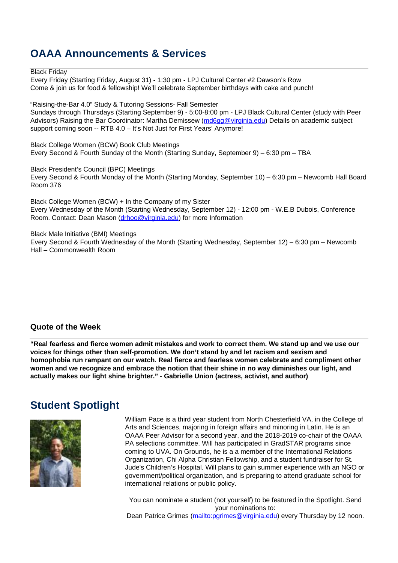# **OAAA Announcements & Services**

Black Friday

Every Friday (Starting Friday, August 31) - 1:30 pm - LPJ Cultural Center #2 Dawson's Row Come & join us for food & fellowship! We'll celebrate September birthdays with cake and punch!

"Raising-the-Bar 4.0" Study & Tutoring Sessions- Fall Semester Sundays through Thursdays (Starting September 9) - 5:00-8:00 pm - LPJ Black Cultural Center (study with Peer Advisors) Raising the Bar Coordinator: Martha Demissew (md6gg@virginia.edu) Details on academic subject support coming soon -- RTB 4.0 – It's Not Just for First Years' Anymore!

Black College Women (BCW) Book Club Meetings Every Second & Fourth Sunday of the Month (Starting Sunday, September 9) – 6:30 pm – TBA

Black President's Council (BPC) Meetings Every Second & Fourth Monday of the Month (Starting Monday, September 10) – 6:30 pm – Newcomb Hall Board Room 376

Black College Women (BCW) + In the Company of my Sister Every Wednesday of the Month (Starting Wednesday, September 12) - 12:00 pm - W.E.B Dubois, Conference Room. Contact: Dean Mason (drhoo@virginia.edu) for more Information

Black Male Initiative (BMI) Meetings Every Second & Fourth Wednesday of the Month (Starting Wednesday, September 12) – 6:30 pm – Newcomb Hall – Commonwealth Room

#### **Quote of the Week**

**"Real fearless and fierce women admit mistakes and work to correct them. We stand up and we use our voices for things other than self-promotion. We don't stand by and let racism and sexism and homophobia run rampant on our watch. Real fierce and fearless women celebrate and compliment other women and we recognize and embrace the notion that their shine in no way diminishes our light, and actually makes our light shine brighter." - Gabrielle Union (actress, activist, and author)**

#### **Student Spotlight**



William Pace is a third year student from North Chesterfield VA, in the College of Arts and Sciences, majoring in foreign affairs and minoring in Latin. He is an OAAA Peer Advisor for a second year, and the 2018-2019 co-chair of the OAAA PA selections committee. Will has participated in GradSTAR programs since coming to UVA. On Grounds, he is a a member of the International Relations Organization, Chi Alpha Christian Fellowship, and a student fundraiser for St. Jude's Children's Hospital. Will plans to gain summer experience with an NGO or government/political organization, and is preparing to attend graduate school for international relations or public policy.

You can nominate a student (not yourself) to be featured in the Spotlight. Send your nominations to:

Dean Patrice Grimes (mailto:pgrimes@virginia.edu) every Thursday by 12 noon.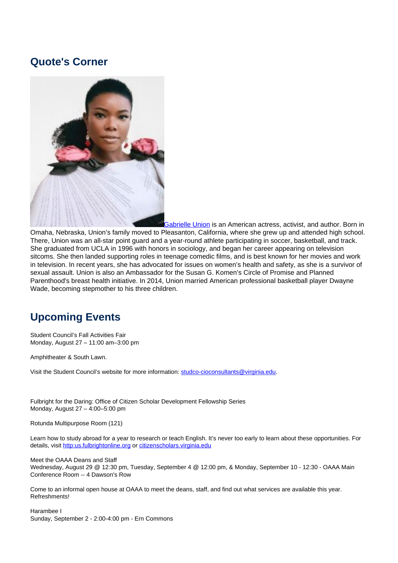### **Quote's Corner**



Gabrielle Union is an American actress, activist, and author. Born in Omaha, Nebraska, Union's family moved to Pleasanton, California, where she grew up and attended high school. There, Union was an all-star point guard and a year-round athlete participating in soccer, basketball, and track. She graduated from UCLA in 1996 with honors in sociology, and began her career appearing on television sitcoms. She then landed supporting roles in teenage comedic films, and is best known for her movies and work in television. In recent years, she has advocated for issues on women's health and safety, as she is a survivor of sexual assault. Union is also an Ambassador for the Susan G. Komen's Circle of Promise and Planned Parenthood's breast health initiative. In 2014, Union married American professional basketball player Dwayne Wade, becoming stepmother to his three children.

# **Upcoming Events**

Student Council's Fall Activities Fair Monday, August 27 – 11:00 am–3:00 pm

Amphitheater & South Lawn.

Visit the Student Council's website for more information: studco-cioconsultants@virginia.edu.

Fulbright for the Daring: Office of Citizen Scholar Development Fellowship Series Monday, August 27 – 4:00–5:00 pm

Rotunda Multipurpose Room (121)

Learn how to study abroad for a year to research or teach English. It's never too early to learn about these opportunities. For details, visit http:us.fulbrightonline.org or citizenscholars.virginia.edu

Meet the OAAA Deans and Staff Wednesday, August 29 @ 12:30 pm, Tuesday, September 4 @ 12:00 pm, & Monday, September 10 - 12:30 - OAAA Main Conference Room -- 4 Dawson's Row

Come to an informal open house at OAAA to meet the deans, staff, and find out what services are available this year. Refreshments!

Harambee I Sunday, September 2 - 2:00-4:00 pm - Ern Commons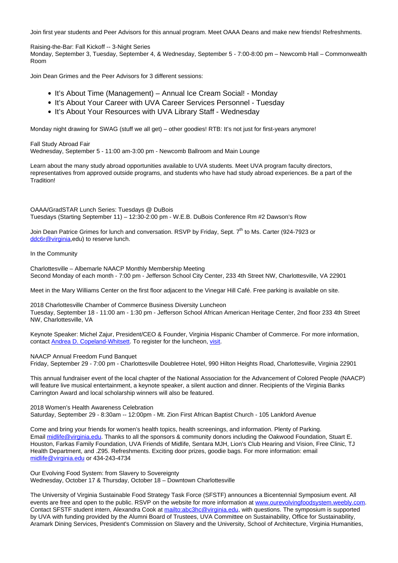Join first year students and Peer Advisors for this annual program. Meet OAAA Deans and make new friends! Refreshments.

Raising-the-Bar: Fall Kickoff -- 3-Night Series

Monday, September 3, Tuesday, September 4, & Wednesday, September 5 - 7:00-8:00 pm – Newcomb Hall – Commonwealth Room

Join Dean Grimes and the Peer Advisors for 3 different sessions:

- It's About Time (Management) Annual Ice Cream Social! Mondav
- It's About Your Career with UVA Career Services Personnel Tuesday
- It's About Your Resources with UVA Library Staff Wednesday

Monday night drawing for SWAG (stuff we all get) – other goodies! RTB: It's not just for first-years anymore!

Fall Study Abroad Fair Wednesday, September 5 - 11:00 am-3:00 pm - Newcomb Ballroom and Main Lounge

Learn about the many study abroad opportunities available to UVA students. Meet UVA program faculty directors, representatives from approved outside programs, and students who have had study abroad experiences. Be a part of the Tradition!

OAAA/GradSTAR Lunch Series: Tuesdays @ DuBois Tuesdays (Starting September 11) – 12:30-2:00 pm - W.E.B. DuBois Conference Rm #2 Dawson's Row

Join Dean Patrice Grimes for lunch and conversation. RSVP by Friday, Sept. 7th to Ms. Carter (924-7923 or ddc6r@virginia,edu) to reserve lunch.

In the Community

Charlottesville – Albemarle NAACP Monthly Membership Meeting Second Monday of each month - 7:00 pm - Jefferson School City Center, 233 4th Street NW, Charlottesville, VA 22901

Meet in the Mary Williams Center on the first floor adjacent to the Vinegar Hill Café. Free parking is available on site.

2018 Charlottesville Chamber of Commerce Business Diversity Luncheon Tuesday, September 18 - 11:00 am - 1:30 pm - Jefferson School African American Heritage Center, 2nd floor 233 4th Street NW, Charlottesville, VA

Keynote Speaker: Michel Zajur, President/CEO & Founder, Virginia Hispanic Chamber of Commerce. For more information, contact Andrea D. Copeland-Whitsett. To register for the luncheon, visit.

NAACP Annual Freedom Fund Banquet

Friday, September 29 - 7:00 pm - Charlottesville Doubletree Hotel, 990 Hilton Heights Road, Charlottesville, Virginia 22901

This annual fundraiser event of the local chapter of the National Association for the Advancement of Colored People (NAACP) will feature live musical entertainment, a keynote speaker, a silent auction and dinner. Recipients of the Virginia Banks Carrington Award and local scholarship winners will also be featured.

2018 Women's Health Awareness Celebration Saturday, September 29 - 8:30am -- 12:00pm - Mt. Zion First African Baptist Church - 105 Lankford Avenue

Come and bring your friends for women's health topics, health screenings, and information. Plenty of Parking. Email midlife@virginia.edu. Thanks to all the sponsors & community donors including the Oakwood Foundation, Stuart E. Houston, Farkas Family Foundation, UVA Friends of Midlife, Sentara MJH, Lion's Club Hearing and Vision, Free Clinic, TJ Health Department, and .Z95. Refreshments. Exciting door prizes, goodie bags. For more information: email midlife@virginia.edu or 434-243-4734

Our Evolving Food System: from Slavery to Sovereignty Wednesday, October 17 & Thursday, October 18 – Downtown Charlottesville

The University of Virginia Sustainable Food Strategy Task Force (SFSTF) announces a Bicentennial Symposium event. All events are free and open to the public. RSVP on the website for more information at www.ourevolvingfoodsystem.weebly.com. Contact SFSTF student intern, Alexandra Cook at mailto:abc3hc@virginia.edu, with questions. The symposium is supported by UVA with funding provided by the Alumni Board of Trustees, UVA Committee on Sustainability, Office for Sustainability, Aramark Dining Services, President's Commission on Slavery and the University, School of Architecture, Virginia Humanities,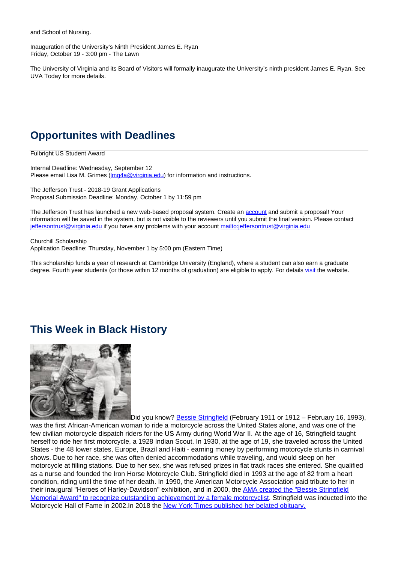and School of Nursing.

Inauguration of the University's Ninth President James E. Ryan Friday, October 19 - 3:00 pm - The Lawn

The University of Virginia and its Board of Visitors will formally inaugurate the University's ninth president James E. Ryan. See UVA Today for more details.

# **Opportunites with Deadlines**

Fulbright US Student Award

Internal Deadline: Wednesday, September 12 Please email Lisa M. Grimes (Img4a@virginia.edu) for information and instructions.

The Jefferson Trust - 2018-19 Grant Applications Proposal Submission Deadline: Monday, October 1 by 11:59 pm

The Jefferson Trust has launched a new web-based proposal system. Create an account and submit a proposal! Your information will be saved in the system, but is not visible to the reviewers until you submit the final version. Please contact jeffersontrust@virginia.edu if you have any problems with your account mailto:jeffersontrust@virginia.edu

Churchill Scholarship Application Deadline: Thursday, November 1 by 5:00 pm (Eastern Time)

This scholarship funds a year of research at Cambridge University (England), where a student can also earn a graduate degree. Fourth year students (or those within 12 months of graduation) are eligible to apply. For details visit the website.

#### **This Week in Black History**



Did you know? **Bessie Stringfield** (February 1911 or 1912 – February 16, 1993), was the first African-American woman to ride a motorcycle across the United States alone, and was one of the few civilian motorcycle dispatch riders for the US Army during World War II. At the age of 16, Stringfield taught herself to ride her first motorcycle, a 1928 Indian Scout. In 1930, at the age of 19, she traveled across the United States - the 48 lower states, Europe, Brazil and Haiti - earning money by performing motorcycle stunts in carnival shows. Due to her race, she was often denied accommodations while traveling, and would sleep on her motorcycle at filling stations. Due to her sex, she was refused prizes in flat track races she entered. She qualified as a nurse and founded the Iron Horse Motorcycle Club. Stringfield died in 1993 at the age of 82 from a heart condition, riding until the time of her death. In 1990, the American Motorcycle Association paid tribute to her in their inaugural "Heroes of Harley-Davidson" exhibition, and in 2000, the AMA created the "Bessie Stringfield Memorial Award" to recognize outstanding achievement by a female motorcyclist. Stringfield was inducted into the Motorcycle Hall of Fame in 2002.In 2018 the New York Times published her belated obituary.